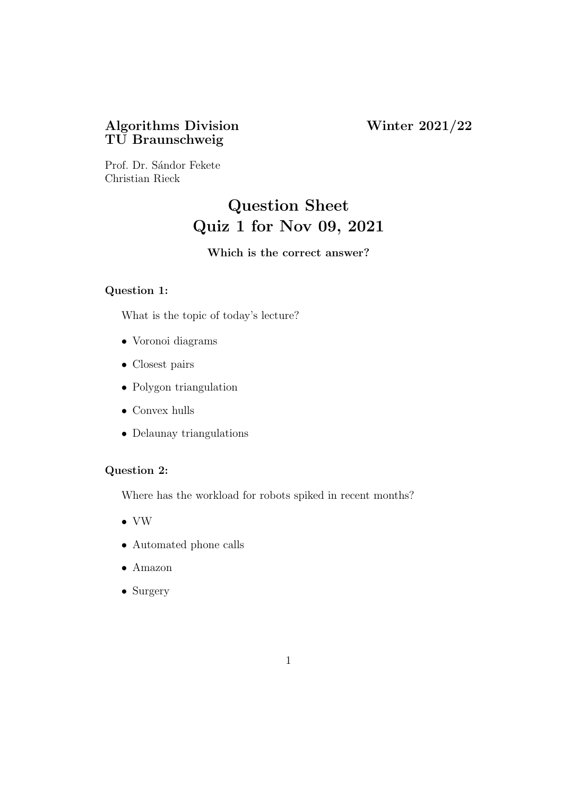## Algorithms Division Winter 2021/22 TU Braunschweig

Prof. Dr. Sándor Fekete Christian Rieck

# Question Sheet Quiz 1 for Nov 09, 2021

## Which is the correct answer?

## Question 1:

What is the topic of today's lecture?

- Voronoi diagrams
- Closest pairs
- Polygon triangulation
- Convex hulls
- Delaunay triangulations

## Question 2:

Where has the workload for robots spiked in recent months?

- VW
- Automated phone calls
- Amazon
- Surgery